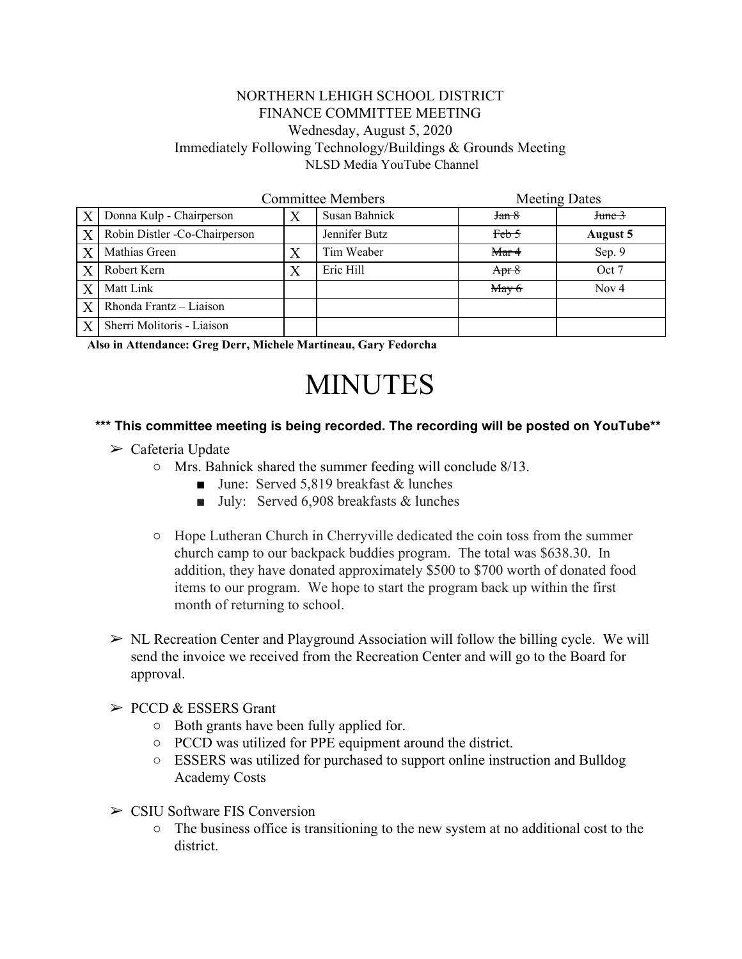## NORTHERN LEHIGH SCHOOL DISTRICT FINANCE COMMITTEE MEETING Wednesday, August 5, 2020 Immediately Following Technology/Buildings & Grounds Meeting NLSD Media YouTube Channel

|                  | <b>Committee Members</b>      |   |               | <b>Meeting Dates</b> |              |
|------------------|-------------------------------|---|---------------|----------------------|--------------|
| X                | Donna Kulp - Chairperson      |   | Susan Bahnick | Jan 8                | $J$ tune $3$ |
| X                | Robin Distler -Co-Chairperson |   | Jennifer Butz | $Feb-5$              | August 5     |
| $\boldsymbol{X}$ | Mathias Green                 |   | Tim Weaber    | Mar4                 | Sep. 9       |
|                  | Robert Kern                   | Χ | Eric Hill     | Apr $8$              | Oct 7        |
| $\boldsymbol{X}$ | Matt Link                     |   |               | $M$ ay 6             | Nov $4$      |
| X                | Rhonda Frantz - Liaison       |   |               |                      |              |
| X                | Sherri Molitoris - Liaison    |   |               |                      |              |

**Also in Attendance: Greg Derr, Michele Martineau, Gary Fedorcha**

## MINUTES

## **\*\*\* This committee meeting is being recorded. The recording will be posted on YouTube\*\***

- $\triangleright$  Cafeteria Update
	- Mrs. Bahnick shared the summer feeding will conclude 8/13.
		- June: Served 5,819 breakfast & lunches
		- July: Served 6,908 breakfasts & lunches
	- Hope Lutheran Church in Cherryville dedicated the coin toss from the summer church camp to our backpack buddies program. The total was \$638.30. In addition, they have donated approximately \$500 to \$700 worth of donated food items to our program. We hope to start the program back up within the first month of returning to school.
- $\triangleright$  NL Recreation Center and Playground Association will follow the billing cycle. We will send the invoice we received from the Recreation Center and will go to the Board for approval.

## $\triangleright$  PCCD & ESSERS Grant

- Both grants have been fully applied for.
- PCCD was utilized for PPE equipment around the district.
- ESSERS was utilized for purchased to support online instruction and Bulldog Academy Costs
- $\triangleright$  CSIU Software FIS Conversion
	- The business office is transitioning to the new system at no additional cost to the district.